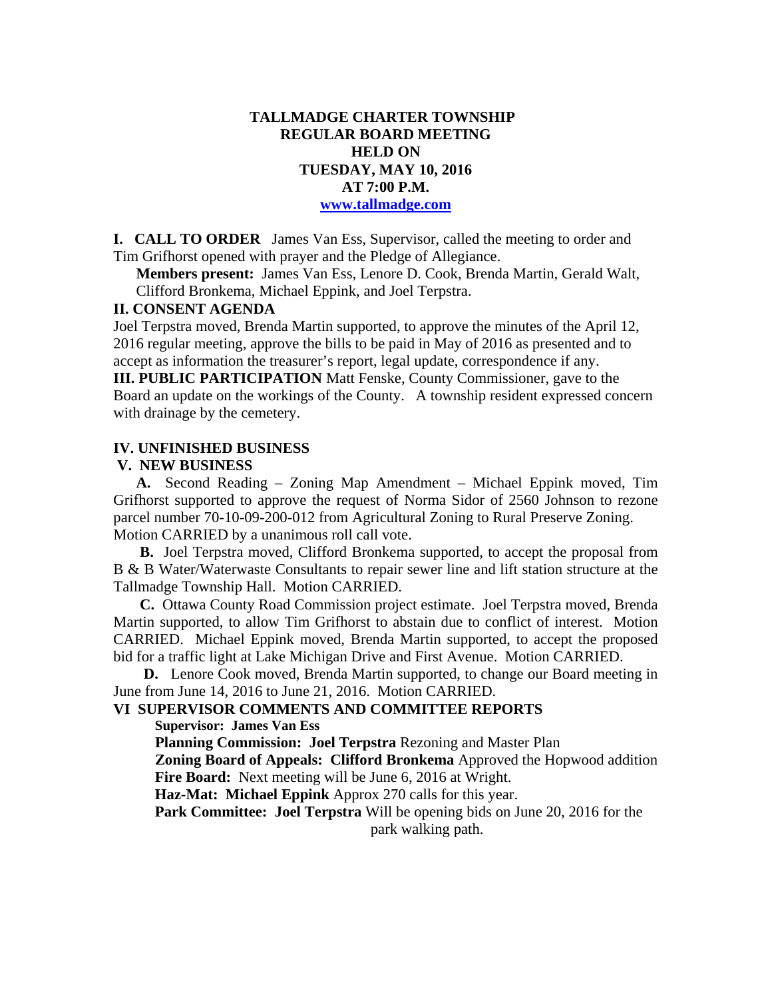### **TALLMADGE CHARTER TOWNSHIP REGULAR BOARD MEETING HELD ON TUESDAY, MAY 10, 2016 AT 7:00 P.M. www.tallmadge.com**

**I. CALL TO ORDER** James Van Ess, Supervisor, called the meeting to order and Tim Grifhorst opened with prayer and the Pledge of Allegiance.

**Members present:** James Van Ess, Lenore D. Cook, Brenda Martin, Gerald Walt, Clifford Bronkema, Michael Eppink, and Joel Terpstra.

#### **II. CONSENT AGENDA**

Joel Terpstra moved, Brenda Martin supported, to approve the minutes of the April 12, 2016 regular meeting, approve the bills to be paid in May of 2016 as presented and to accept as information the treasurer's report, legal update, correspondence if any. **III. PUBLIC PARTICIPATION** Matt Fenske, County Commissioner, gave to the

Board an update on the workings of the County. A township resident expressed concern with drainage by the cemetery.

#### **IV. UNFINISHED BUSINESS**

#### **V. NEW BUSINESS**

 **A.** Second Reading – Zoning Map Amendment – Michael Eppink moved, Tim Grifhorst supported to approve the request of Norma Sidor of 2560 Johnson to rezone parcel number 70-10-09-200-012 from Agricultural Zoning to Rural Preserve Zoning. Motion CARRIED by a unanimous roll call vote.

 **B.** Joel Terpstra moved, Clifford Bronkema supported, to accept the proposal from B & B Water/Waterwaste Consultants to repair sewer line and lift station structure at the Tallmadge Township Hall. Motion CARRIED.

 **C.** Ottawa County Road Commission project estimate. Joel Terpstra moved, Brenda Martin supported, to allow Tim Grifhorst to abstain due to conflict of interest. Motion CARRIED. Michael Eppink moved, Brenda Martin supported, to accept the proposed bid for a traffic light at Lake Michigan Drive and First Avenue. Motion CARRIED.

 **D.** Lenore Cook moved, Brenda Martin supported, to change our Board meeting in June from June 14, 2016 to June 21, 2016. Motion CARRIED.

## **VI SUPERVISOR COMMENTS AND COMMITTEE REPORTS**

 **Supervisor: James Van Ess** 

**Planning Commission: Joel Terpstra** Rezoning and Master Plan

 **Zoning Board of Appeals: Clifford Bronkema** Approved the Hopwood addition **Fire Board:** Next meeting will be June 6, 2016 at Wright.

 **Haz-Mat: Michael Eppink** Approx 270 calls for this year.

 **Park Committee: Joel Terpstra** Will be opening bids on June 20, 2016 for the park walking path.